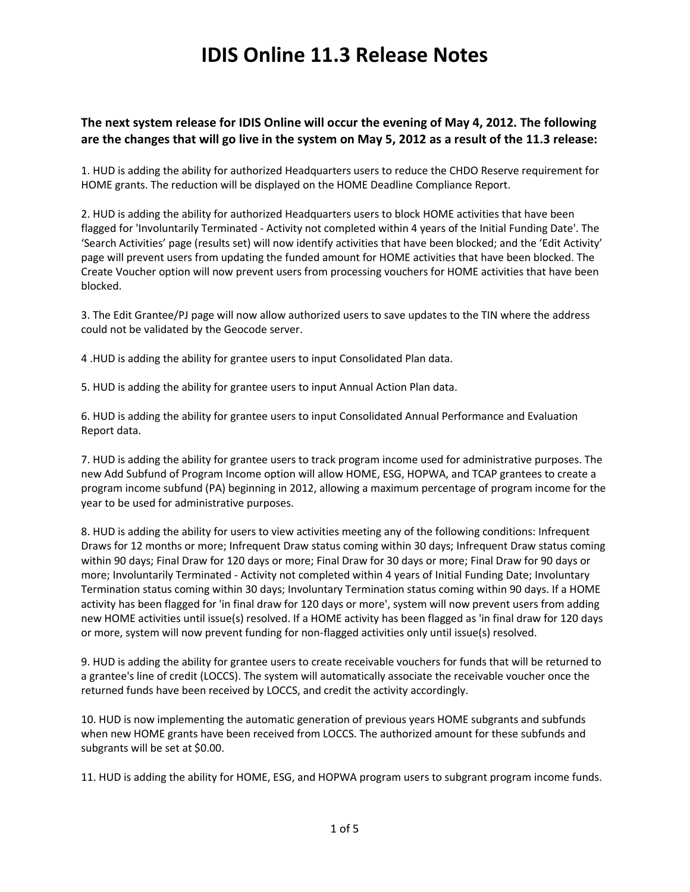#### **The next system release for IDIS Online will occur the evening of May 4, 2012. The following are the changes that will go live in the system on May 5, 2012 as a result of the 11.3 release:**

1. HUD is adding the ability for authorized Headquarters users to reduce the CHDO Reserve requirement for HOME grants. The reduction will be displayed on the HOME Deadline Compliance Report.

2. HUD is adding the ability for authorized Headquarters users to block HOME activities that have been flagged for 'Involuntarily Terminated - Activity not completed within 4 years of the Initial Funding Date'. The 'Search Activities' page (results set) will now identify activities that have been blocked; and the 'Edit Activity' page will prevent users from updating the funded amount for HOME activities that have been blocked. The Create Voucher option will now prevent users from processing vouchers for HOME activities that have been blocked.

3. The Edit Grantee/PJ page will now allow authorized users to save updates to the TIN where the address could not be validated by the Geocode server.

4 .HUD is adding the ability for grantee users to input Consolidated Plan data.

5. HUD is adding the ability for grantee users to input Annual Action Plan data.

6. HUD is adding the ability for grantee users to input Consolidated Annual Performance and Evaluation Report data.

7. HUD is adding the ability for grantee users to track program income used for administrative purposes. The new Add Subfund of Program Income option will allow HOME, ESG, HOPWA, and TCAP grantees to create a program income subfund (PA) beginning in 2012, allowing a maximum percentage of program income for the year to be used for administrative purposes.

8. HUD is adding the ability for users to view activities meeting any of the following conditions: Infrequent Draws for 12 months or more; Infrequent Draw status coming within 30 days; Infrequent Draw status coming within 90 days; Final Draw for 120 days or more; Final Draw for 30 days or more; Final Draw for 90 days or more; Involuntarily Terminated - Activity not completed within 4 years of Initial Funding Date; Involuntary Termination status coming within 30 days; Involuntary Termination status coming within 90 days. If a HOME activity has been flagged for 'in final draw for 120 days or more', system will now prevent users from adding new HOME activities until issue(s) resolved. If a HOME activity has been flagged as 'in final draw for 120 days or more, system will now prevent funding for non-flagged activities only until issue(s) resolved.

9. HUD is adding the ability for grantee users to create receivable vouchers for funds that will be returned to a grantee's line of credit (LOCCS). The system will automatically associate the receivable voucher once the returned funds have been received by LOCCS, and credit the activity accordingly.

10. HUD is now implementing the automatic generation of previous years HOME subgrants and subfunds when new HOME grants have been received from LOCCS. The authorized amount for these subfunds and subgrants will be set at \$0.00.

11. HUD is adding the ability for HOME, ESG, and HOPWA program users to subgrant program income funds.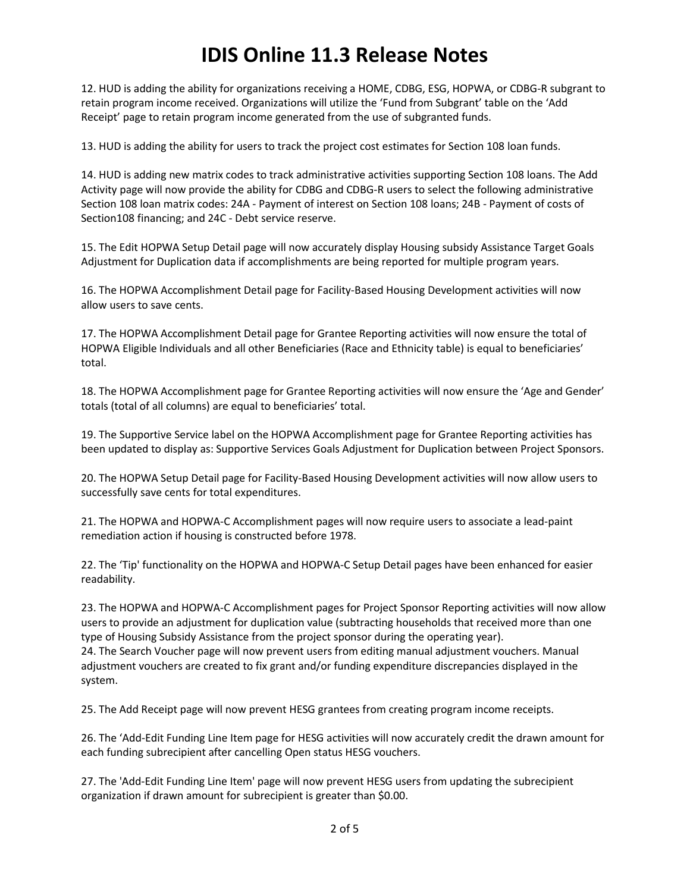12. HUD is adding the ability for organizations receiving a HOME, CDBG, ESG, HOPWA, or CDBG-R subgrant to retain program income received. Organizations will utilize the 'Fund from Subgrant' table on the 'Add Receipt' page to retain program income generated from the use of subgranted funds.

13. HUD is adding the ability for users to track the project cost estimates for Section 108 loan funds.

14. HUD is adding new matrix codes to track administrative activities supporting Section 108 loans. The Add Activity page will now provide the ability for CDBG and CDBG-R users to select the following administrative Section 108 loan matrix codes: 24A - Payment of interest on Section 108 loans; 24B - Payment of costs of Section108 financing; and 24C - Debt service reserve.

15. The Edit HOPWA Setup Detail page will now accurately display Housing subsidy Assistance Target Goals Adjustment for Duplication data if accomplishments are being reported for multiple program years.

16. The HOPWA Accomplishment Detail page for Facility-Based Housing Development activities will now allow users to save cents.

17. The HOPWA Accomplishment Detail page for Grantee Reporting activities will now ensure the total of HOPWA Eligible Individuals and all other Beneficiaries (Race and Ethnicity table) is equal to beneficiaries' total.

18. The HOPWA Accomplishment page for Grantee Reporting activities will now ensure the 'Age and Gender' totals (total of all columns) are equal to beneficiaries' total.

19. The Supportive Service label on the HOPWA Accomplishment page for Grantee Reporting activities has been updated to display as: Supportive Services Goals Adjustment for Duplication between Project Sponsors.

20. The HOPWA Setup Detail page for Facility-Based Housing Development activities will now allow users to successfully save cents for total expenditures.

21. The HOPWA and HOPWA-C Accomplishment pages will now require users to associate a lead-paint remediation action if housing is constructed before 1978.

22. The 'Tip' functionality on the HOPWA and HOPWA-C Setup Detail pages have been enhanced for easier readability.

23. The HOPWA and HOPWA-C Accomplishment pages for Project Sponsor Reporting activities will now allow users to provide an adjustment for duplication value (subtracting households that received more than one type of Housing Subsidy Assistance from the project sponsor during the operating year). 24. The Search Voucher page will now prevent users from editing manual adjustment vouchers. Manual adjustment vouchers are created to fix grant and/or funding expenditure discrepancies displayed in the system.

25. The Add Receipt page will now prevent HESG grantees from creating program income receipts.

26. The 'Add-Edit Funding Line Item page for HESG activities will now accurately credit the drawn amount for each funding subrecipient after cancelling Open status HESG vouchers.

27. The 'Add-Edit Funding Line Item' page will now prevent HESG users from updating the subrecipient organization if drawn amount for subrecipient is greater than \$0.00.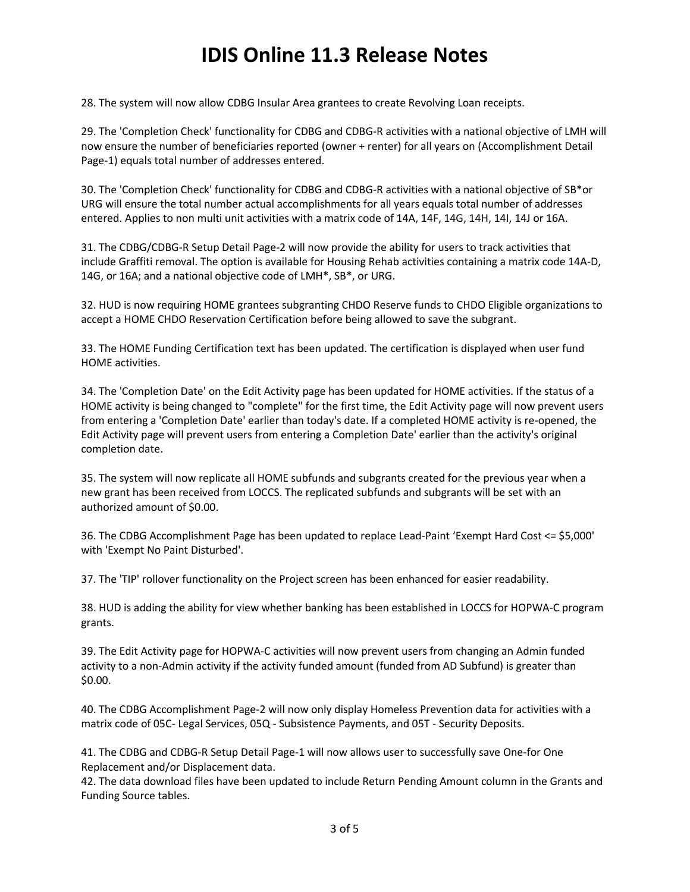28. The system will now allow CDBG Insular Area grantees to create Revolving Loan receipts.

29. The 'Completion Check' functionality for CDBG and CDBG-R activities with a national objective of LMH will now ensure the number of beneficiaries reported (owner + renter) for all years on (Accomplishment Detail Page-1) equals total number of addresses entered.

30. The 'Completion Check' functionality for CDBG and CDBG-R activities with a national objective of SB\*or URG will ensure the total number actual accomplishments for all years equals total number of addresses entered. Applies to non multi unit activities with a matrix code of 14A, 14F, 14G, 14H, 14I, 14J or 16A.

31. The CDBG/CDBG-R Setup Detail Page-2 will now provide the ability for users to track activities that include Graffiti removal. The option is available for Housing Rehab activities containing a matrix code 14A-D, 14G, or 16A; and a national objective code of LMH\*, SB\*, or URG.

32. HUD is now requiring HOME grantees subgranting CHDO Reserve funds to CHDO Eligible organizations to accept a HOME CHDO Reservation Certification before being allowed to save the subgrant.

33. The HOME Funding Certification text has been updated. The certification is displayed when user fund HOME activities.

34. The 'Completion Date' on the Edit Activity page has been updated for HOME activities. If the status of a HOME activity is being changed to "complete" for the first time, the Edit Activity page will now prevent users from entering a 'Completion Date' earlier than today's date. If a completed HOME activity is re-opened, the Edit Activity page will prevent users from entering a Completion Date' earlier than the activity's original completion date.

35. The system will now replicate all HOME subfunds and subgrants created for the previous year when a new grant has been received from LOCCS. The replicated subfunds and subgrants will be set with an authorized amount of \$0.00.

36. The CDBG Accomplishment Page has been updated to replace Lead-Paint 'Exempt Hard Cost <= \$5,000' with 'Exempt No Paint Disturbed'.

37. The 'TIP' rollover functionality on the Project screen has been enhanced for easier readability.

38. HUD is adding the ability for view whether banking has been established in LOCCS for HOPWA-C program grants.

39. The Edit Activity page for HOPWA-C activities will now prevent users from changing an Admin funded activity to a non-Admin activity if the activity funded amount (funded from AD Subfund) is greater than \$0.00.

40. The CDBG Accomplishment Page-2 will now only display Homeless Prevention data for activities with a matrix code of 05C- Legal Services, 05Q - Subsistence Payments, and 05T - Security Deposits.

41. The CDBG and CDBG-R Setup Detail Page-1 will now allows user to successfully save One-for One Replacement and/or Displacement data.

42. The data download files have been updated to include Return Pending Amount column in the Grants and Funding Source tables.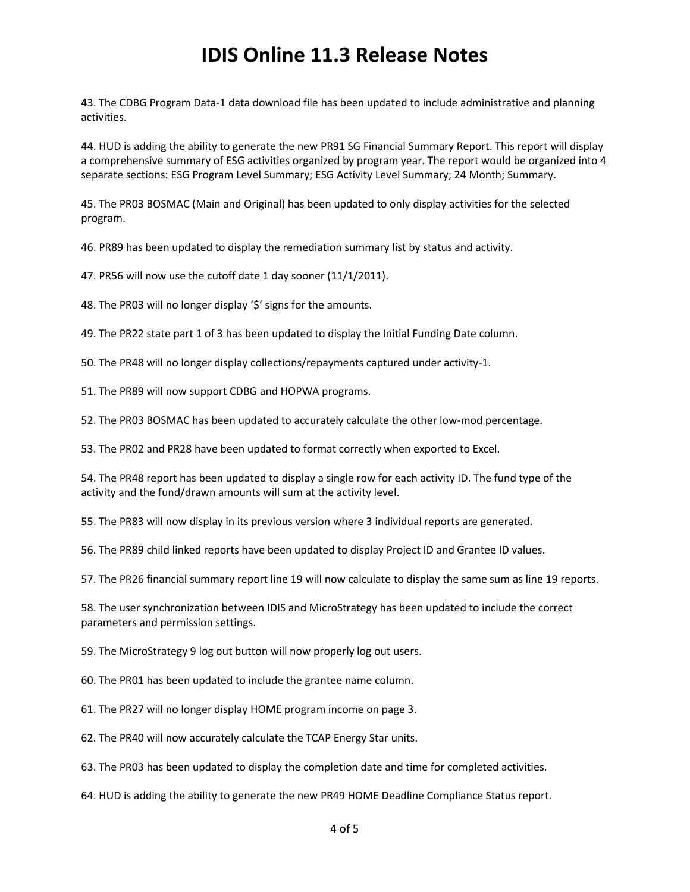43. The CDBG Program Data-1 data download file has been updated to include administrative and planning activities.

44. HUD is adding the ability to generate the new PR91 SG Financial Summary Report. This report will display a comprehensive summary of ESG activities organized by program year. The report would be organized into 4 separate sections: ESG Program Level Summary; ESG Activity Level Summary; 24 Month; Summary.

45. The PR03 BOSMAC (Main and Original) has been updated to only display activities for the selected program.

46. PR89 has been updated to display the remediation summary list by status and activity.

47. PR56 will now use the cutoff date 1 day sooner (11/1/2011).

48. The PR03 will no longer display '\$' signs for the amounts.

49. The PR22 state part 1 of 3 has been updated to display the Initial Funding Date column.

50. The PR48 will no longer display collections/repayments captured under activity-1.

51. The PR89 will now support CDBG and HOPWA programs.

52. The PR03 BOSMAC has been updated to accurately calculate the other low-mod percentage.

53. The PR02 and PR28 have been updated to format correctly when exported to Excel.

54. The PR48 report has been updated to display a single row for each activity ID. The fund type of the activity and the fund/drawn amounts will sum at the activity level.

55. The PR83 will now display in its previous version where 3 individual reports are generated.

56. The PR89 child linked reports have been updated to display Project ID and Grantee ID values.

57. The PR26 financial summary report line 19 will now calculate to display the same sum as line 19 reports.

58. The user synchronization between IDIS and MicroStrategy has been updated to include the correct parameters and permission settings.

59. The MicroStrategy 9 log out button will now properly log out users.

60. The PR01 has been updated to include the grantee name column.

61. The PR27 will no longer display HOME program income on page 3.

62. The PR40 will now accurately calculate the TCAP Energy Star units.

63. The PR03 has been updated to display the completion date and time for completed activities.

64. HUD is adding the ability to generate the new PR49 HOME Deadline Compliance Status report.